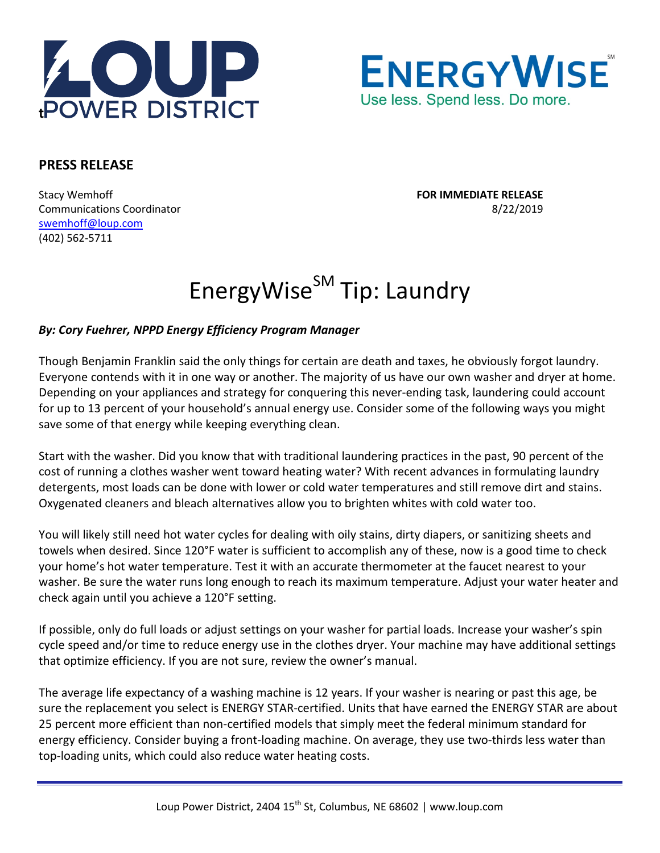



## **PRESS RELEASE**

Stacy Wemhoff **FOR IMMEDIATE RELEASE** Communications Coordinator 8/22/2019 [swemhoff@loup.com](mailto:swemhoff@loup.com)  (402) 562-5711

## EnergyWise<sup>SM</sup> Tip: Laundry

## *By: Cory Fuehrer, NPPD Energy Efficiency Program Manager*

Though Benjamin Franklin said the only things for certain are death and taxes, he obviously forgot laundry. Everyone contends with it in one way or another. The majority of us have our own washer and dryer at home. Depending on your appliances and strategy for conquering this never-ending task, laundering could account for up to 13 percent of your household's annual energy use. Consider some of the following ways you might save some of that energy while keeping everything clean.

Start with the washer. Did you know that with traditional laundering practices in the past, 90 percent of the cost of running a clothes washer went toward heating water? With recent advances in formulating laundry detergents, most loads can be done with lower or cold water temperatures and still remove dirt and stains. Oxygenated cleaners and bleach alternatives allow you to brighten whites with cold water too.

You will likely still need hot water cycles for dealing with oily stains, dirty diapers, or sanitizing sheets and towels when desired. Since 120°F water is sufficient to accomplish any of these, now is a good time to check your home's hot water temperature. Test it with an accurate thermometer at the faucet nearest to your washer. Be sure the water runs long enough to reach its maximum temperature. Adjust your water heater and check again until you achieve a 120°F setting.

If possible, only do full loads or adjust settings on your washer for partial loads. Increase your washer's spin cycle speed and/or time to reduce energy use in the clothes dryer. Your machine may have additional settings that optimize efficiency. If you are not sure, review the owner's manual.

The average life expectancy of a washing machine is 12 years. If your washer is nearing or past this age, be sure the replacement you select is ENERGY STAR-certified. Units that have earned the ENERGY STAR are about 25 percent more efficient than non-certified models that simply meet the federal minimum standard for energy efficiency. Consider buying a front-loading machine. On average, they use two-thirds less water than top-loading units, which could also reduce water heating costs.